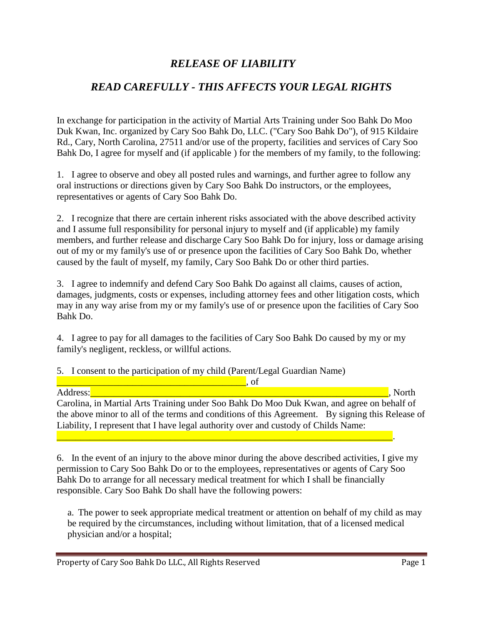## *RELEASE OF LIABILITY*

## *READ CAREFULLY - THIS AFFECTS YOUR LEGAL RIGHTS*

In exchange for participation in the activity of Martial Arts Training under Soo Bahk Do Moo Duk Kwan, Inc. organized by Cary Soo Bahk Do, LLC. ("Cary Soo Bahk Do"), of 915 Kildaire Rd., Cary, North Carolina, 27511 and/or use of the property, facilities and services of Cary Soo Bahk Do, I agree for myself and (if applicable ) for the members of my family, to the following:

1. I agree to observe and obey all posted rules and warnings, and further agree to follow any oral instructions or directions given by Cary Soo Bahk Do instructors, or the employees, representatives or agents of Cary Soo Bahk Do.

2. I recognize that there are certain inherent risks associated with the above described activity and I assume full responsibility for personal injury to myself and (if applicable) my family members, and further release and discharge Cary Soo Bahk Do for injury, loss or damage arising out of my or my family's use of or presence upon the facilities of Cary Soo Bahk Do, whether caused by the fault of myself, my family, Cary Soo Bahk Do or other third parties.

3. I agree to indemnify and defend Cary Soo Bahk Do against all claims, causes of action, damages, judgments, costs or expenses, including attorney fees and other litigation costs, which may in any way arise from my or my family's use of or presence upon the facilities of Cary Soo Bahk Do.

4. I agree to pay for all damages to the facilities of Cary Soo Bahk Do caused by my or my family's negligent, reckless, or willful actions.

## 5. I consent to the participation of my child (Parent/Legal Guardian Name)

 $\Box$  and  $\Box$  and  $\Box$  and  $\Box$  and  $\Box$  and  $\Box$  of  $\Box$ Address: Andress: Address: Address: Address: Address: Address: Address: Address: A Development of the United States of the United States of the United States of the United States of the United States of the United States o Carolina, in Martial Arts Training under Soo Bahk Do Moo Duk Kwan, and agree on behalf of the above minor to all of the terms and conditions of this Agreement. By signing this Release of Liability, I represent that I have legal authority over and custody of Childs Name: \_\_\_\_\_\_\_\_\_\_\_\_\_\_\_\_\_\_\_\_\_\_\_\_\_\_\_\_\_\_\_\_\_\_\_\_\_\_\_\_\_\_\_\_\_\_\_\_\_\_\_\_\_\_\_\_\_\_\_\_\_\_\_\_\_\_\_\_\_\_\_.

6. In the event of an injury to the above minor during the above described activities, I give my permission to Cary Soo Bahk Do or to the employees, representatives or agents of Cary Soo Bahk Do to arrange for all necessary medical treatment for which I shall be financially responsible. Cary Soo Bahk Do shall have the following powers:

a. The power to seek appropriate medical treatment or attention on behalf of my child as may be required by the circumstances, including without limitation, that of a licensed medical physician and/or a hospital;